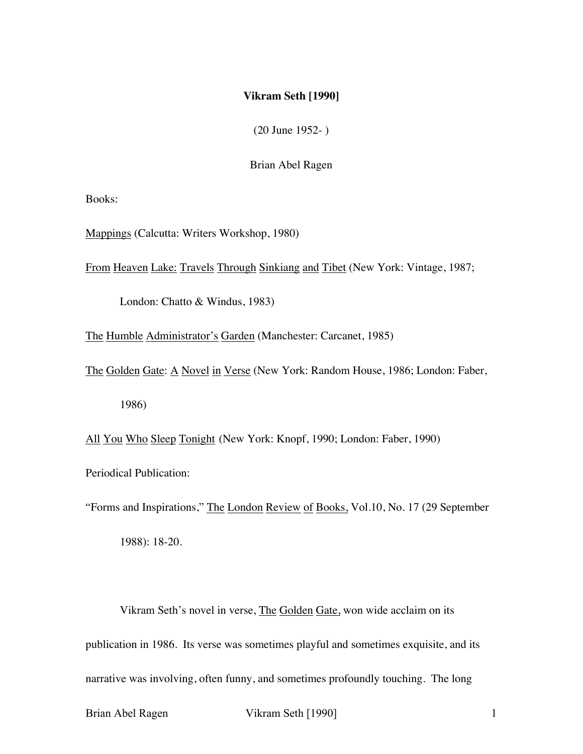## **Vikram Seth [1990]**

(20 June 1952- )

Brian Abel Ragen

Books:

Mappings (Calcutta: Writers Workshop, 1980)

From Heaven Lake: Travels Through Sinkiang and Tibet (New York: Vintage, 1987;

London: Chatto & Windus, 1983)

The Humble Administrator's Garden (Manchester: Carcanet, 1985)

The Golden Gate: A Novel in Verse (New York: Random House, 1986; London: Faber,

1986)

All You Who Sleep Tonight (New York: Knopf, 1990; London: Faber, 1990)

Periodical Publication:

"Forms and Inspirations," The London Review of Books, Vol.10, No. 17 (29 September

1988): 18-20.

Vikram Seth's novel in verse, The Golden Gate, won wide acclaim on its publication in 1986. Its verse was sometimes playful and sometimes exquisite, and its narrative was involving, often funny, and sometimes profoundly touching. The long

Brian Abel Ragen Vikram Seth [1990]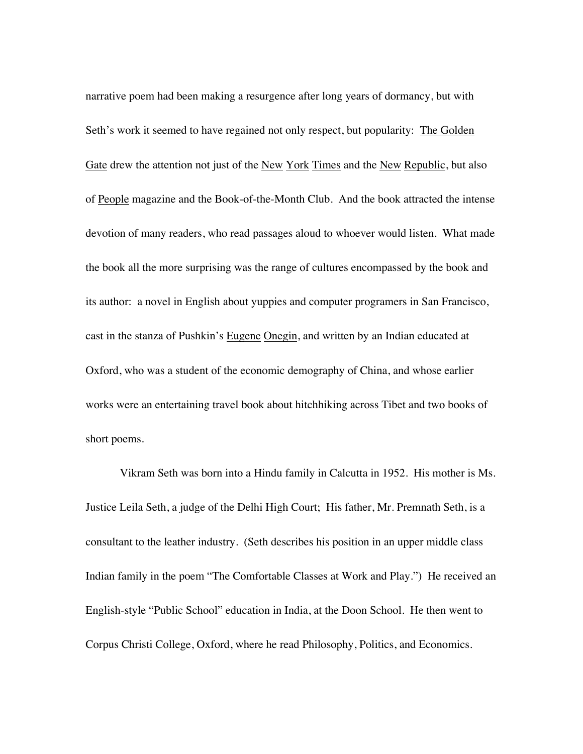narrative poem had been making a resurgence after long years of dormancy, but with Seth's work it seemed to have regained not only respect, but popularity: The Golden Gate drew the attention not just of the New York Times and the New Republic, but also of People magazine and the Book-of-the-Month Club. And the book attracted the intense devotion of many readers, who read passages aloud to whoever would listen. What made the book all the more surprising was the range of cultures encompassed by the book and its author: a novel in English about yuppies and computer programers in San Francisco, cast in the stanza of Pushkin's Eugene Onegin, and written by an Indian educated at Oxford, who was a student of the economic demography of China, and whose earlier works were an entertaining travel book about hitchhiking across Tibet and two books of short poems.

Vikram Seth was born into a Hindu family in Calcutta in 1952. His mother is Ms. Justice Leila Seth, a judge of the Delhi High Court; His father, Mr. Premnath Seth, is a consultant to the leather industry. (Seth describes his position in an upper middle class Indian family in the poem "The Comfortable Classes at Work and Play.") He received an English-style "Public School" education in India, at the Doon School. He then went to Corpus Christi College, Oxford, where he read Philosophy, Politics, and Economics.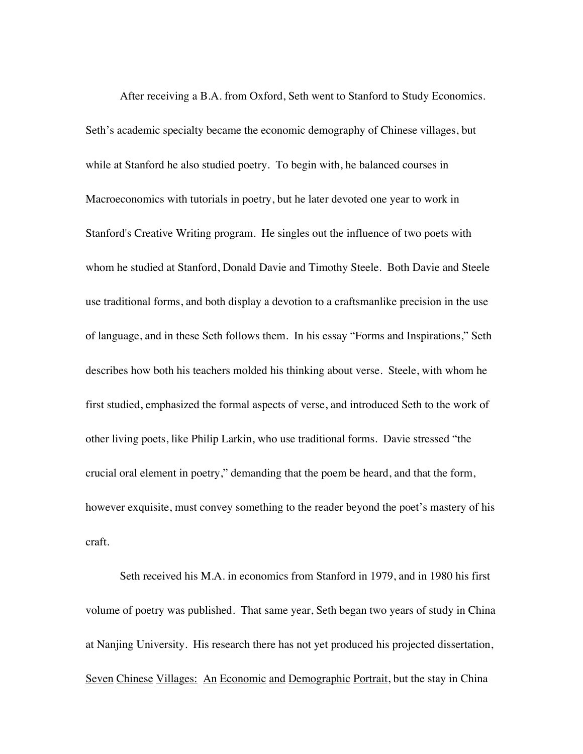After receiving a B.A. from Oxford, Seth went to Stanford to Study Economics. Seth's academic specialty became the economic demography of Chinese villages, but while at Stanford he also studied poetry. To begin with, he balanced courses in Macroeconomics with tutorials in poetry, but he later devoted one year to work in Stanford's Creative Writing program. He singles out the influence of two poets with whom he studied at Stanford, Donald Davie and Timothy Steele. Both Davie and Steele use traditional forms, and both display a devotion to a craftsmanlike precision in the use of language, and in these Seth follows them. In his essay "Forms and Inspirations," Seth describes how both his teachers molded his thinking about verse. Steele, with whom he first studied, emphasized the formal aspects of verse, and introduced Seth to the work of other living poets, like Philip Larkin, who use traditional forms. Davie stressed "the crucial oral element in poetry," demanding that the poem be heard, and that the form, however exquisite, must convey something to the reader beyond the poet's mastery of his craft.

Seth received his M.A. in economics from Stanford in 1979, and in 1980 his first volume of poetry was published. That same year, Seth began two years of study in China at Nanjing University. His research there has not yet produced his projected dissertation, Seven Chinese Villages: An Economic and Demographic Portrait, but the stay in China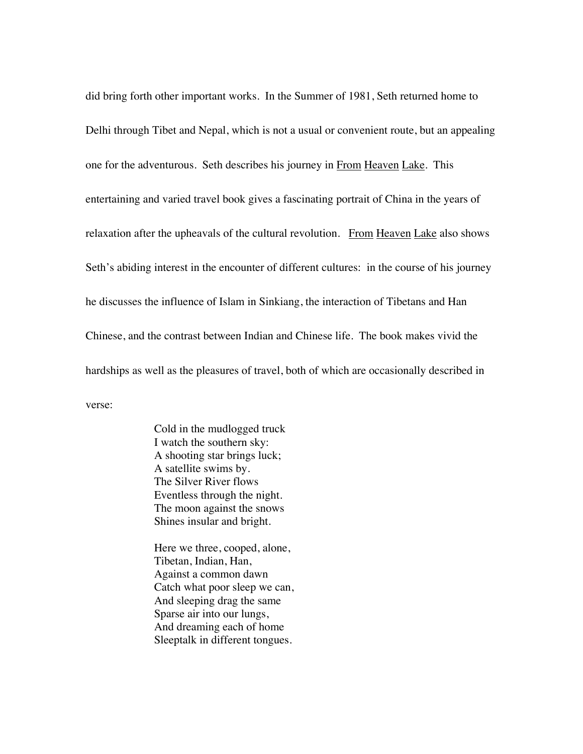did bring forth other important works. In the Summer of 1981, Seth returned home to Delhi through Tibet and Nepal, which is not a usual or convenient route, but an appealing one for the adventurous. Seth describes his journey in From Heaven Lake. This entertaining and varied travel book gives a fascinating portrait of China in the years of relaxation after the upheavals of the cultural revolution. From Heaven Lake also shows Seth's abiding interest in the encounter of different cultures: in the course of his journey he discusses the influence of Islam in Sinkiang, the interaction of Tibetans and Han Chinese, and the contrast between Indian and Chinese life. The book makes vivid the hardships as well as the pleasures of travel, both of which are occasionally described in verse:

> Cold in the mudlogged truck I watch the southern sky: A shooting star brings luck; A satellite swims by. The Silver River flows Eventless through the night. The moon against the snows Shines insular and bright.

Here we three, cooped, alone, Tibetan, Indian, Han, Against a common dawn Catch what poor sleep we can, And sleeping drag the same Sparse air into our lungs, And dreaming each of home Sleeptalk in different tongues.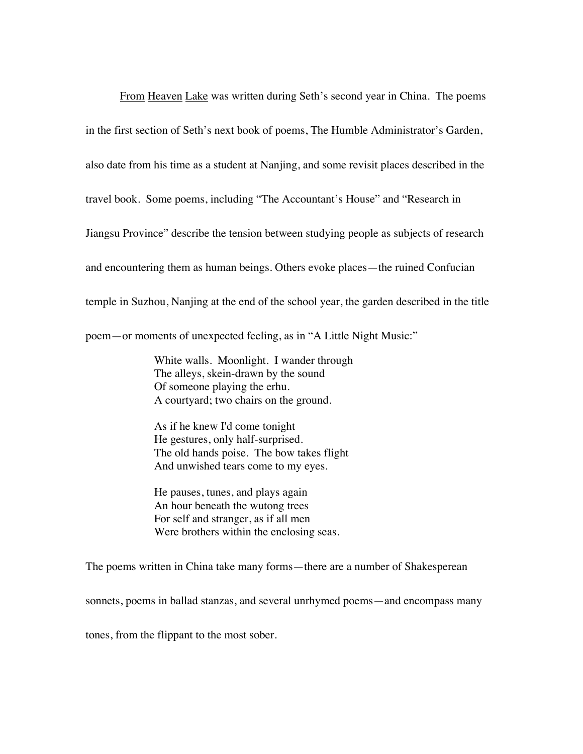From Heaven Lake was written during Seth's second year in China. The poems in the first section of Seth's next book of poems, The Humble Administrator's Garden, also date from his time as a student at Nanjing, and some revisit places described in the travel book. Some poems, including "The Accountant's House" and "Research in Jiangsu Province" describe the tension between studying people as subjects of research and encountering them as human beings. Others evoke places—the ruined Confucian temple in Suzhou, Nanjing at the end of the school year, the garden described in the title poem—or moments of unexpected feeling, as in "A Little Night Music:"

> White walls. Moonlight. I wander through The alleys, skein-drawn by the sound Of someone playing the erhu. A courtyard; two chairs on the ground.

As if he knew I'd come tonight He gestures, only half-surprised. The old hands poise. The bow takes flight And unwished tears come to my eyes.

He pauses, tunes, and plays again An hour beneath the wutong trees For self and stranger, as if all men Were brothers within the enclosing seas.

The poems written in China take many forms—there are a number of Shakesperean

sonnets, poems in ballad stanzas, and several unrhymed poems—and encompass many

tones, from the flippant to the most sober.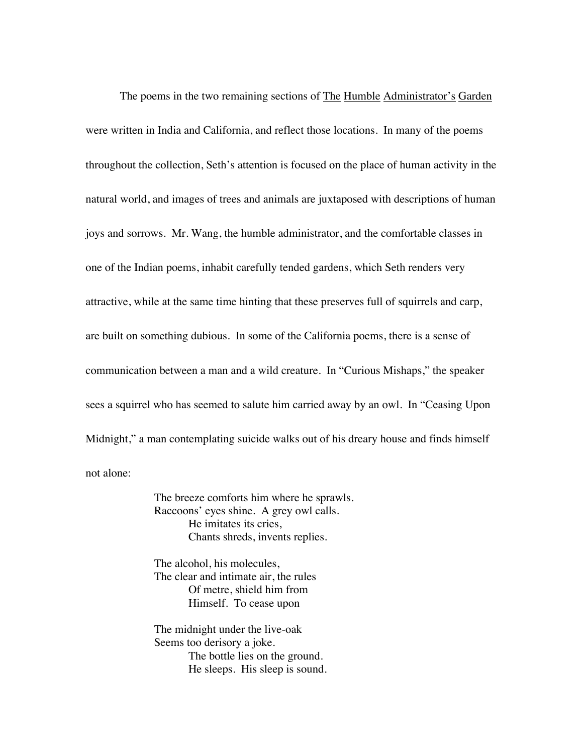The poems in the two remaining sections of The Humble Administrator's Garden were written in India and California, and reflect those locations. In many of the poems throughout the collection, Seth's attention is focused on the place of human activity in the natural world, and images of trees and animals are juxtaposed with descriptions of human joys and sorrows. Mr. Wang, the humble administrator, and the comfortable classes in one of the Indian poems, inhabit carefully tended gardens, which Seth renders very attractive, while at the same time hinting that these preserves full of squirrels and carp, are built on something dubious. In some of the California poems, there is a sense of communication between a man and a wild creature. In "Curious Mishaps," the speaker sees a squirrel who has seemed to salute him carried away by an owl. In "Ceasing Upon Midnight," a man contemplating suicide walks out of his dreary house and finds himself not alone:

> The breeze comforts him where he sprawls. Raccoons' eyes shine. A grey owl calls. He imitates its cries, Chants shreds, invents replies.

The alcohol, his molecules, The clear and intimate air, the rules Of metre, shield him from Himself. To cease upon

The midnight under the live-oak Seems too derisory a joke. The bottle lies on the ground. He sleeps. His sleep is sound.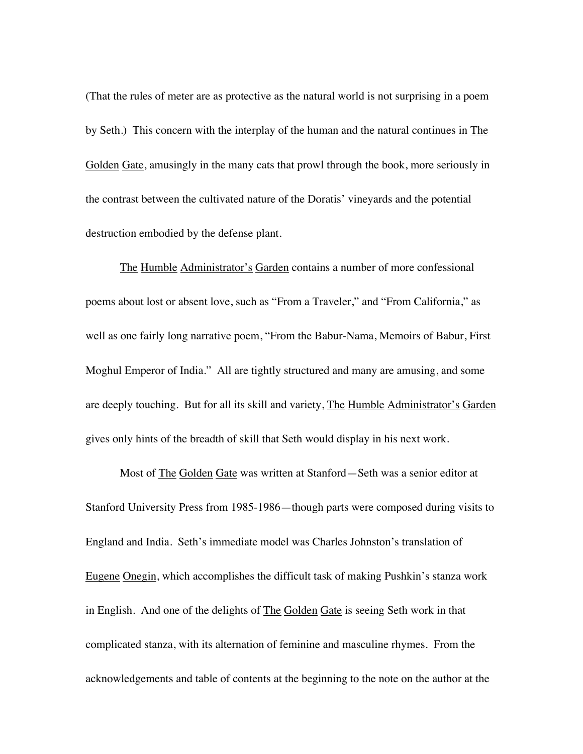(That the rules of meter are as protective as the natural world is not surprising in a poem by Seth.) This concern with the interplay of the human and the natural continues in The Golden Gate, amusingly in the many cats that prowl through the book, more seriously in the contrast between the cultivated nature of the Doratis' vineyards and the potential destruction embodied by the defense plant.

The Humble Administrator's Garden contains a number of more confessional poems about lost or absent love, such as "From a Traveler," and "From California," as well as one fairly long narrative poem, "From the Babur-Nama, Memoirs of Babur, First Moghul Emperor of India." All are tightly structured and many are amusing, and some are deeply touching. But for all its skill and variety, The Humble Administrator's Garden gives only hints of the breadth of skill that Seth would display in his next work.

Most of The Golden Gate was written at Stanford—Seth was a senior editor at Stanford University Press from 1985-1986—though parts were composed during visits to England and India. Seth's immediate model was Charles Johnston's translation of Eugene Onegin, which accomplishes the difficult task of making Pushkin's stanza work in English. And one of the delights of The Golden Gate is seeing Seth work in that complicated stanza, with its alternation of feminine and masculine rhymes. From the acknowledgements and table of contents at the beginning to the note on the author at the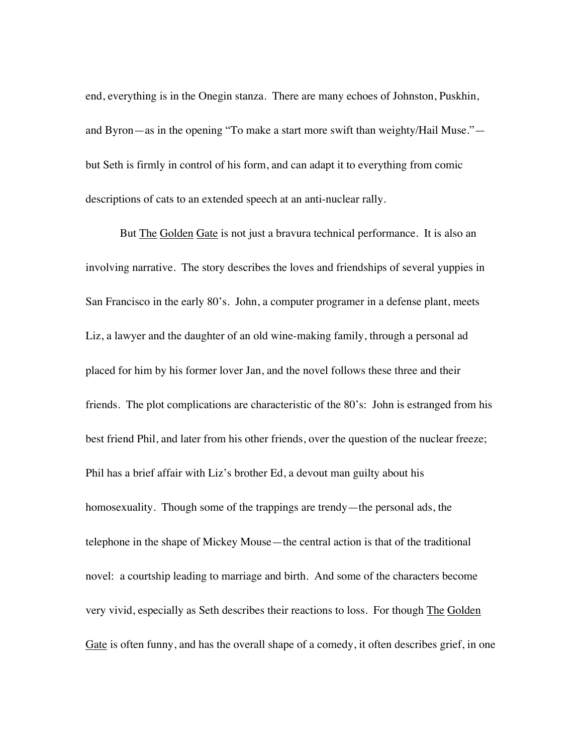end, everything is in the Onegin stanza. There are many echoes of Johnston, Puskhin, and Byron—as in the opening "To make a start more swift than weighty/Hail Muse." but Seth is firmly in control of his form, and can adapt it to everything from comic descriptions of cats to an extended speech at an anti-nuclear rally.

But The Golden Gate is not just a bravura technical performance. It is also an involving narrative. The story describes the loves and friendships of several yuppies in San Francisco in the early 80's. John, a computer programer in a defense plant, meets Liz, a lawyer and the daughter of an old wine-making family, through a personal ad placed for him by his former lover Jan, and the novel follows these three and their friends. The plot complications are characteristic of the 80's: John is estranged from his best friend Phil, and later from his other friends, over the question of the nuclear freeze; Phil has a brief affair with Liz's brother Ed, a devout man guilty about his homosexuality. Though some of the trappings are trendy—the personal ads, the telephone in the shape of Mickey Mouse—the central action is that of the traditional novel: a courtship leading to marriage and birth. And some of the characters become very vivid, especially as Seth describes their reactions to loss. For though The Golden Gate is often funny, and has the overall shape of a comedy, it often describes grief, in one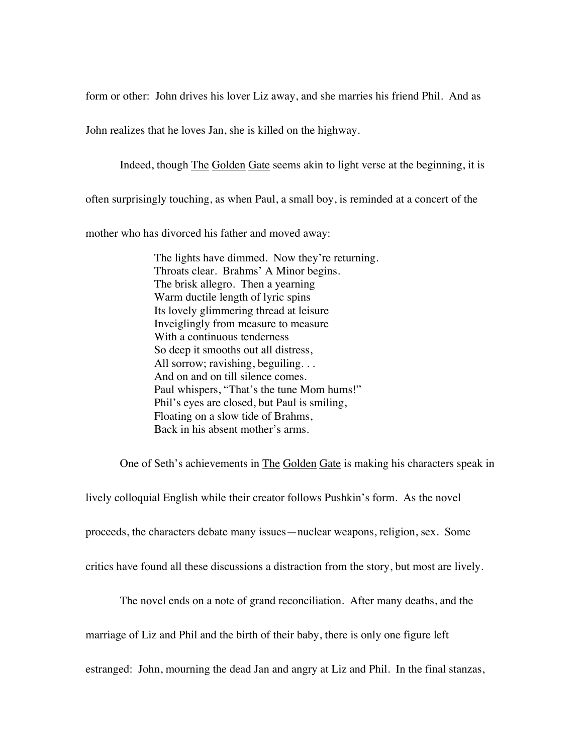form or other: John drives his lover Liz away, and she marries his friend Phil. And as

John realizes that he loves Jan, she is killed on the highway.

Indeed, though The Golden Gate seems akin to light verse at the beginning, it is

often surprisingly touching, as when Paul, a small boy, is reminded at a concert of the

mother who has divorced his father and moved away:

The lights have dimmed. Now they're returning. Throats clear. Brahms' A Minor begins. The brisk allegro. Then a yearning Warm ductile length of lyric spins Its lovely glimmering thread at leisure Inveiglingly from measure to measure With a continuous tenderness So deep it smooths out all distress, All sorrow; ravishing, beguiling. . . And on and on till silence comes. Paul whispers, "That's the tune Mom hums!" Phil's eyes are closed, but Paul is smiling, Floating on a slow tide of Brahms, Back in his absent mother's arms.

One of Seth's achievements in The Golden Gate is making his characters speak in

lively colloquial English while their creator follows Pushkin's form. As the novel

proceeds, the characters debate many issues—nuclear weapons, religion, sex. Some

critics have found all these discussions a distraction from the story, but most are lively.

The novel ends on a note of grand reconciliation. After many deaths, and the

marriage of Liz and Phil and the birth of their baby, there is only one figure left

estranged: John, mourning the dead Jan and angry at Liz and Phil. In the final stanzas,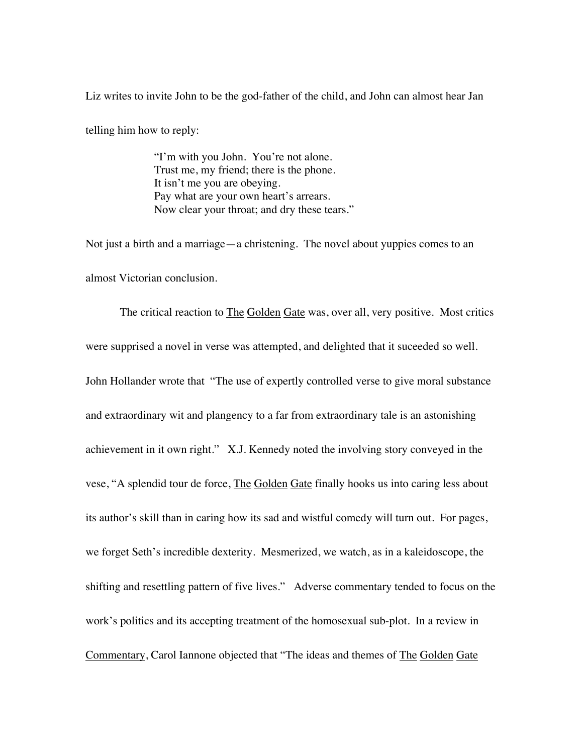Liz writes to invite John to be the god-father of the child, and John can almost hear Jan

telling him how to reply:

"I'm with you John. You're not alone. Trust me, my friend; there is the phone. It isn't me you are obeying. Pay what are your own heart's arrears. Now clear your throat; and dry these tears."

Not just a birth and a marriage—a christening. The novel about yuppies comes to an almost Victorian conclusion.

The critical reaction to **The Golden Gate** was, over all, very positive. Most critics were supprised a novel in verse was attempted, and delighted that it suceeded so well. John Hollander wrote that "The use of expertly controlled verse to give moral substance and extraordinary wit and plangency to a far from extraordinary tale is an astonishing achievement in it own right." X.J. Kennedy noted the involving story conveyed in the vese, "A splendid tour de force, The Golden Gate finally hooks us into caring less about its author's skill than in caring how its sad and wistful comedy will turn out. For pages, we forget Seth's incredible dexterity. Mesmerized, we watch, as in a kaleidoscope, the shifting and resettling pattern of five lives." Adverse commentary tended to focus on the work's politics and its accepting treatment of the homosexual sub-plot. In a review in Commentary, Carol Iannone objected that "The ideas and themes of The Golden Gate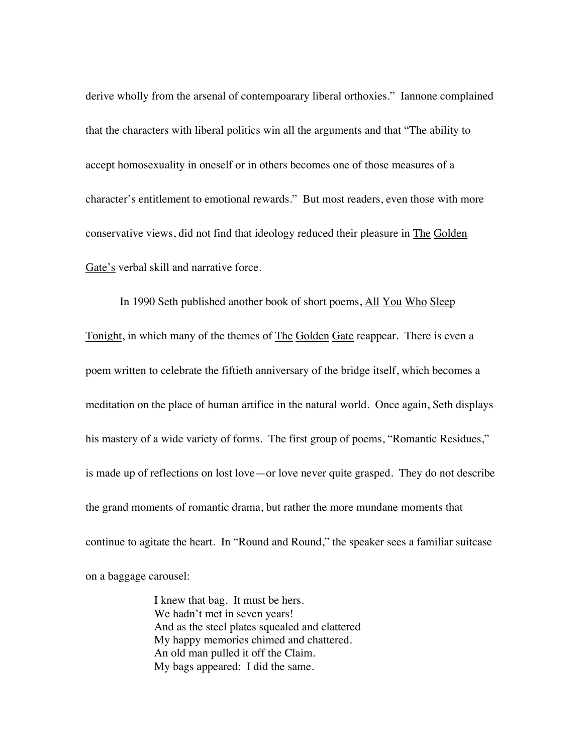derive wholly from the arsenal of contempoarary liberal orthoxies." Iannone complained that the characters with liberal politics win all the arguments and that "The ability to accept homosexuality in oneself or in others becomes one of those measures of a character's entitlement to emotional rewards." But most readers, even those with more conservative views, did not find that ideology reduced their pleasure in The Golden Gate's verbal skill and narrative force.

In 1990 Seth published another book of short poems, All You Who Sleep Tonight, in which many of the themes of The Golden Gate reappear. There is even a poem written to celebrate the fiftieth anniversary of the bridge itself, which becomes a meditation on the place of human artifice in the natural world. Once again, Seth displays his mastery of a wide variety of forms. The first group of poems, "Romantic Residues," is made up of reflections on lost love—or love never quite grasped. They do not describe the grand moments of romantic drama, but rather the more mundane moments that continue to agitate the heart. In "Round and Round," the speaker sees a familiar suitcase on a baggage carousel:

> I knew that bag. It must be hers. We hadn't met in seven years! And as the steel plates squealed and clattered My happy memories chimed and chattered. An old man pulled it off the Claim. My bags appeared: I did the same.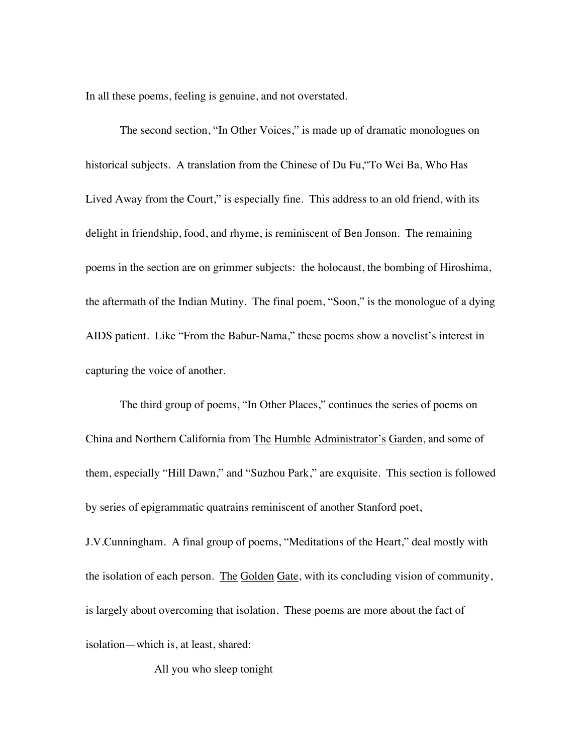In all these poems, feeling is genuine, and not overstated.

The second section, "In Other Voices," is made up of dramatic monologues on historical subjects. A translation from the Chinese of Du Fu,"To Wei Ba, Who Has Lived Away from the Court," is especially fine. This address to an old friend, with its delight in friendship, food, and rhyme, is reminiscent of Ben Jonson. The remaining poems in the section are on grimmer subjects: the holocaust, the bombing of Hiroshima, the aftermath of the Indian Mutiny. The final poem, "Soon," is the monologue of a dying AIDS patient. Like "From the Babur-Nama," these poems show a novelist's interest in capturing the voice of another.

The third group of poems, "In Other Places," continues the series of poems on China and Northern California from The Humble Administrator's Garden, and some of them, especially "Hill Dawn," and "Suzhou Park," are exquisite. This section is followed by series of epigrammatic quatrains reminiscent of another Stanford poet,

J.V.Cunningham. A final group of poems, "Meditations of the Heart," deal mostly with the isolation of each person. The Golden Gate, with its concluding vision of community, is largely about overcoming that isolation. These poems are more about the fact of isolation—which is, at least, shared:

All you who sleep tonight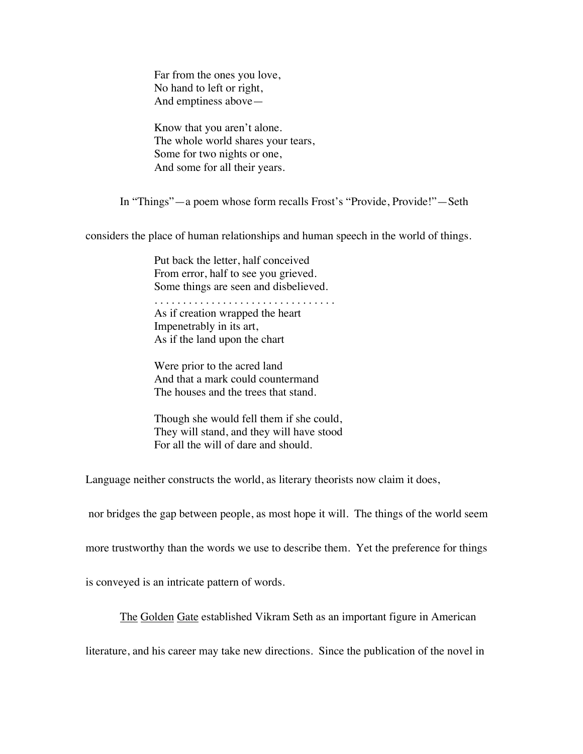Far from the ones you love, No hand to left or right, And emptiness above—

Know that you aren't alone. The whole world shares your tears, Some for two nights or one, And some for all their years.

In "Things"—a poem whose form recalls Frost's "Provide, Provide!"—Seth

considers the place of human relationships and human speech in the world of things.

Put back the letter, half conceived From error, half to see you grieved. Some things are seen and disbelieved.

. . . . . . . . . . . . . . . . . . . . . . . . . . . . . . . . As if creation wrapped the heart Impenetrably in its art, As if the land upon the chart

Were prior to the acred land And that a mark could countermand The houses and the trees that stand.

Though she would fell them if she could, They will stand, and they will have stood For all the will of dare and should.

Language neither constructs the world, as literary theorists now claim it does,

nor bridges the gap between people, as most hope it will. The things of the world seem

more trustworthy than the words we use to describe them. Yet the preference for things

is conveyed is an intricate pattern of words.

The Golden Gate established Vikram Seth as an important figure in American

literature, and his career may take new directions. Since the publication of the novel in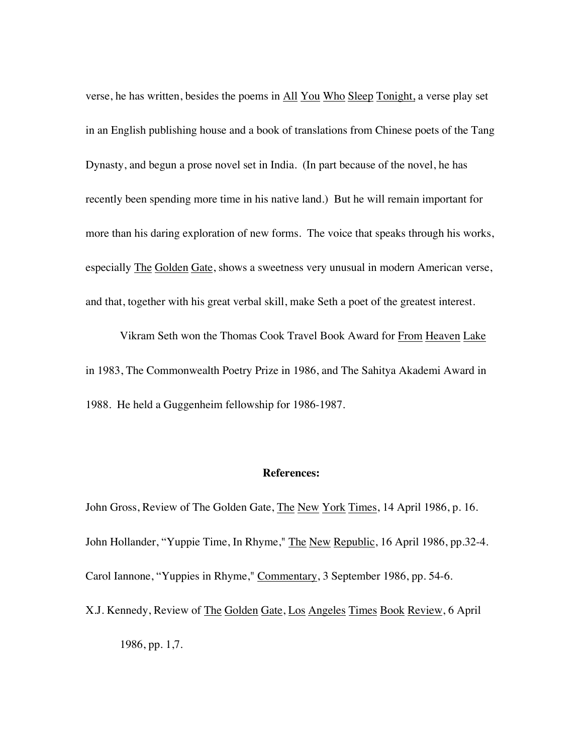verse, he has written, besides the poems in All You Who Sleep Tonight, a verse play set in an English publishing house and a book of translations from Chinese poets of the Tang Dynasty, and begun a prose novel set in India. (In part because of the novel, he has recently been spending more time in his native land.) But he will remain important for more than his daring exploration of new forms. The voice that speaks through his works, especially The Golden Gate, shows a sweetness very unusual in modern American verse, and that, together with his great verbal skill, make Seth a poet of the greatest interest.

Vikram Seth won the Thomas Cook Travel Book Award for From Heaven Lake in 1983, The Commonwealth Poetry Prize in 1986, and The Sahitya Akademi Award in 1988. He held a Guggenheim fellowship for 1986-1987.

## **References:**

John Gross, Review of The Golden Gate, The New York Times, 14 April 1986, p. 16. John Hollander, "Yuppie Time, In Rhyme," The New Republic, 16 April 1986, pp.32-4. Carol Iannone, "Yuppies in Rhyme," Commentary, 3 September 1986, pp. 54-6.

X.J. Kennedy, Review of The Golden Gate, Los Angeles Times Book Review, 6 April 1986, pp. 1,7.